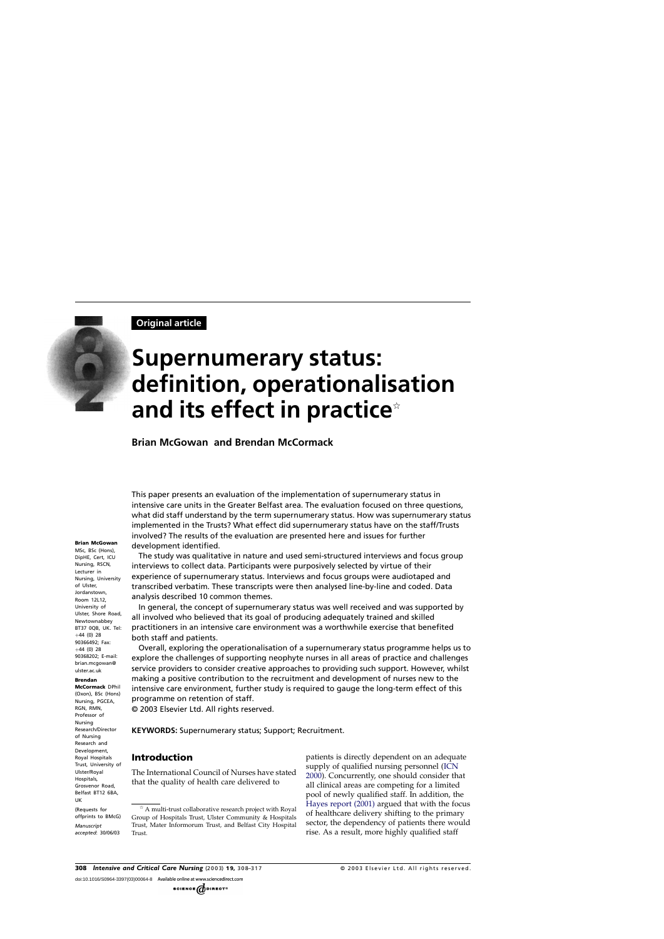**Original article**

# **Supernumerary status: definition, operationalisation and its effect in practice**

**Brian McGowan and Brendan McCormack**

This paper presents an evaluation of the implementation of supernumerary status in intensive care units in the Greater Belfast area. The evaluation focused on three questions, what did staff understand by the term supernumerary status. How was supernumerary status implemented in the Trusts? What effect did supernumerary status have on the staff/Trusts involved? The results of the evaluation are presented here and issues for further development identified.

#### **Brian McGowan**

MSc, BSc (Hons), DipHE, Cert, ICU Nursing, RSCN, Lecturer in Nursing, University of Ulster, Jordanstown, Room 12L12, University of Ulster, Shore Road, Newtownabbey BT37 0OB, UK. Tel:  $+44$  (0) 28 90366492; Fax:  $+44$  (0) 28 90368202; E-mail: brian.mcgowan@ ulster.ac.uk

#### **Brendan**

**McCormack** DPhil (Oxon), BSc (Hons) Nursing, PGCEA, RGN, RMN, Professor of Nursing Research/Director of Nursing Research and Development, Royal Hospitals Trust, University of Ulster/Royal Hospitals, Grosvenor Road, Belfast BT12 6BA, UK (Requests for offprints to BMcG) *Manuscript accepted*: 30/06/03

The study was qualitative in nature and used semi-structured interviews and focus group interviews to collect data. Participants were purposively selected by virtue of their experience of supernumerary status. Interviews and focus groups were audiotaped and transcribed verbatim. These transcripts were then analysed line-by-line and coded. Data analysis described 10 common themes.

In general, the concept of supernumerary status was well received and was supported by all involved who believed that its goal of producing adequately trained and skilled practitioners in an intensive care environment was a worthwhile exercise that benefited both staff and patients.

Overall, exploring the operationalisation of a supernumerary status programme helps us to explore the challenges of supporting neophyte nurses in all areas of practice and challenges service providers to consider creative approaches to providing such support. However, whilst making a positive contribution to the recruitment and development of nurses new to the intensive care environment, further study is required to gauge the long-term effect of this programme on retention of staff.

© 2003 Elsevier Ltd. All rights reserved.

**KEYWORDS:** Supernumerary status; Support; Recruitment.

#### **Introduction**

The International Council of Nurses have stated that the quality of health care delivered to

 $\overrightarrow{A}$  multi-trust collaborative research project with Royal Group of Hospitals Trust, Ulster Community & Hospitals Trust, Mater Informorum Trust, and Belfast City Hospital Trust.

patients is directly dependent on an adequate supply of qualified nursing personnel ([ICN](#page-8-0) [2000\).](#page-8-0) Concurrently, one should consider that all clinical areas are competing for a limited pool of newly qualified staff. In addition, the [Hayes report \(2001\)](#page-8-0) argued that with the focus of healthcare delivery shifting to the primary sector, the dependency of patients there would rise. As a result, more highly qualified staff

doi:10.1016/S0964-3397(03)00064-8 Available online at www.sciencedirect.com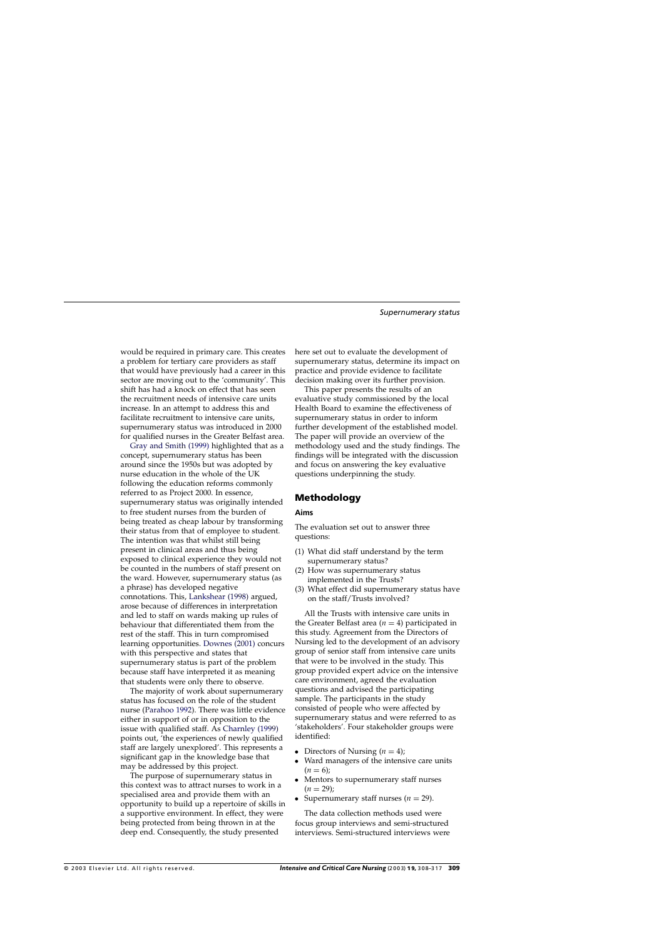would be required in primary care. This creates a problem for tertiary care providers as staff that would have previously had a career in this sector are moving out to the 'community'. This shift has had a knock on effect that has seen the recruitment needs of intensive care units increase. In an attempt to address this and facilitate recruitment to intensive care units, supernumerary status was introduced in 2000 for qualified nurses in the Greater Belfast area.

[Gray and Smith \(1999\)](#page-8-0) highlighted that as a concept, supernumerary status has been around since the 1950s but was adopted by nurse education in the whole of the UK following the education reforms commonly referred to as Project 2000. In essence, supernumerary status was originally intended to free student nurses from the burden of being treated as cheap labour by transforming their status from that of employee to student. The intention was that whilst still being present in clinical areas and thus being exposed to clinical experience they would not be counted in the numbers of staff present on the ward. However, supernumerary status (as a phrase) has developed negative connotations. This, [Lankshear \(1998\)](#page-9-0) argued, arose because of differences in interpretation and led to staff on wards making up rules of behaviour that differentiated them from the rest of the staff. This in turn compromised learning opportunities. [Downes \(2001\)](#page-8-0) concurs with this perspective and states that supernumerary status is part of the problem because staff have interpreted it as meaning that students were only there to observe.

The majority of work about supernumerary status has focused on the role of the student nurse ([Parahoo 1992\).](#page-9-0) There was little evidence either in support of or in opposition to the issue with qualified staff. As [Charnley \(1999\)](#page-8-0) points out, 'the experiences of newly qualified staff are largely unexplored'. This represents a significant gap in the knowledge base that may be addressed by this project.

The purpose of supernumerary status in this context was to attract nurses to work in a specialised area and provide them with an opportunity to build up a repertoire of skills in a supportive environment. In effect, they were being protected from being thrown in at the deep end. Consequently, the study presented

here set out to evaluate the development of supernumerary status, determine its impact on practice and provide evidence to facilitate decision making over its further provision.

This paper presents the results of an evaluative study commissioned by the local Health Board to examine the effectiveness of supernumerary status in order to inform further development of the established model. The paper will provide an overview of the methodology used and the study findings. The findings will be integrated with the discussion and focus on answering the key evaluative questions underpinning the study.

## **Methodology**

### **Aims**

The evaluation set out to answer three questions:

- (1) What did staff understand by the term supernumerary status?
- (2) How was supernumerary status implemented in the Trusts?
- (3) What effect did supernumerary status have on the staff/Trusts involved?

All the Trusts with intensive care units in the Greater Belfast area  $(n = 4)$  participated in this study. Agreement from the Directors of Nursing led to the development of an advisory group of senior staff from intensive care units that were to be involved in the study. This group provided expert advice on the intensive care environment, agreed the evaluation questions and advised the participating sample. The participants in the study consisted of people who were affected by supernumerary status and were referred to as 'stakeholders'. Four stakeholder groups were identified:

- Directors of Nursing  $(n = 4)$ ;
- Ward managers of the intensive care units  $(n = 6)$ :
- Mentors to supernumerary staff nurses  $(n = 29);$
- Supernumerary staff nurses  $(n = 29)$ .

The data collection methods used were focus group interviews and semi-structured interviews. Semi-structured interviews were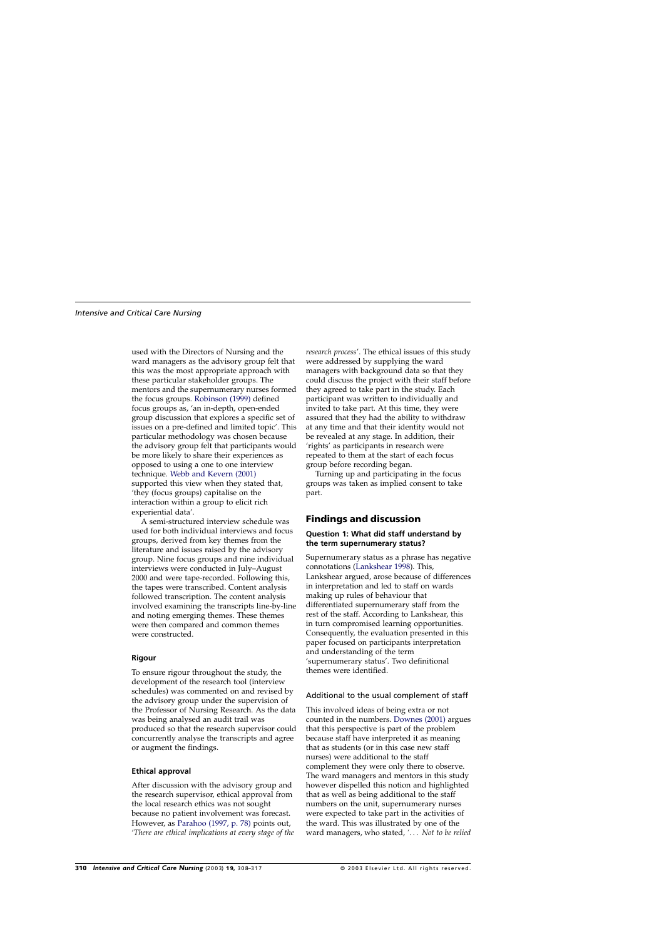used with the Directors of Nursing and the ward managers as the advisory group felt that this was the most appropriate approach with these particular stakeholder groups. The mentors and the supernumerary nurses formed the focus groups. [Robinson \(1999\)](#page-9-0) defined focus groups as, 'an in-depth, open-ended group discussion that explores a specific set of issues on a pre-defined and limited topic'. This particular methodology was chosen because the advisory group felt that participants would be more likely to share their experiences as opposed to using a one to one interview technique. [Webb and Kevern \(2001\)](#page-9-0) supported this view when they stated that, 'they (focus groups) capitalise on the interaction within a group to elicit rich experiential data'.

A semi-structured interview schedule was used for both individual interviews and focus groups, derived from key themes from the literature and issues raised by the advisory group. Nine focus groups and nine individual interviews were conducted in July–August 2000 and were tape-recorded. Following this, the tapes were transcribed. Content analysis followed transcription. The content analysis involved examining the transcripts line-by-line and noting emerging themes. These themes were then compared and common themes were constructed.

#### **Rigour**

To ensure rigour throughout the study, the development of the research tool (interview schedules) was commented on and revised by the advisory group under the supervision of the Professor of Nursing Research. As the data was being analysed an audit trail was produced so that the research supervisor could concurrently analyse the transcripts and agree or augment the findings.

#### **Ethical approval**

After discussion with the advisory group and the research supervisor, ethical approval from the local research ethics was not sought because no patient involvement was forecast. However, as Parahoo (1997, p. 78) points out, '*There are ethical implications at every stage of the* *research process*'. The ethical issues of this study were addressed by supplying the ward managers with background data so that they could discuss the project with their staff before they agreed to take part in the study. Each participant was written to individually and invited to take part. At this time, they were assured that they had the ability to withdraw at any time and that their identity would not be revealed at any stage. In addition, their 'rights' as participants in research were repeated to them at the start of each focus group before recording began.

Turning up and participating in the focus groups was taken as implied consent to take part.

## **Findings and discussion**

#### **Question 1: What did staff understand by the term supernumerary status?**

Supernumerary status as a phrase has negative connotations [\(Lankshear 1998\).](#page-9-0) This, Lankshear argued, arose because of differences in interpretation and led to staff on wards making up rules of behaviour that differentiated supernumerary staff from the rest of the staff. According to Lankshear, this in turn compromised learning opportunities. Consequently, the evaluation presented in this paper focused on participants interpretation and understanding of the term 'supernumerary status'. Two definitional themes were identified.

#### Additional to the usual complement of staff

This involved ideas of being extra or not counted in the numbers. [Downes \(2001\)](#page-8-0) argues that this perspective is part of the problem because staff have interpreted it as meaning that as students (or in this case new staff nurses) were additional to the staff complement they were only there to observe. The ward managers and mentors in this study however dispelled this notion and highlighted that as well as being additional to the staff numbers on the unit, supernumerary nurses were expected to take part in the activities of the ward. This was illustrated by one of the ward managers,who stated, *'*... *Not to be relied*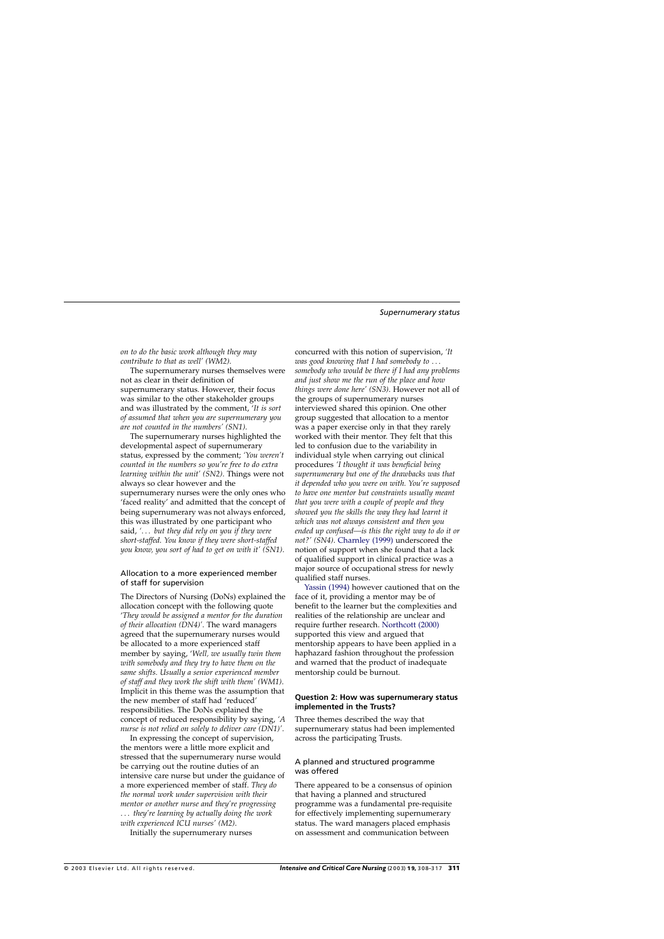*on to do the basic work although they may contribute to that as well' (WM2)*.

The supernumerary nurses themselves were not as clear in their definition of supernumerary status. However, their focus was similar to the other stakeholder groups and was illustrated by the comment,'*It is sort of assumed that when you are supernumerary you are not counted in the numbers' (SN1)*.

The supernumerary nurses highlighted the developmental aspect of supernumerary status, expressed by the comment; 'You weren't *counted in the numbers so you're free to do extra learning within the unit' (SN2)*. Things were not always so clear however and the supernumerary nurses were the only ones who 'faced reality' and admitted that the concept of being supernumerary was not always enforced, this was illustrated by one participant who said, *'*... *but they did rely on you if they were short-staffed. You know if they were short-staffed you know, you sort of had to get on with it' (SN1)*.

#### Allocation to a more experienced member of staff for supervision

The Directors of Nursing (DoNs) explained the allocation concept with the following quote '*They would be assigned a mentor for the duration of their allocation (DN4)'*. The ward managers agreed that the supernumerary nurses would be allocated to a more experienced staff member by saying,'*Well, we usually twin them with somebody and they try to have them on the same shifts. Usually a senior experienced member of staff and they work the shift with them' (WM1)*. Implicit in this theme was the assumption that the new member of staff had 'reduced' responsibilities. The DoNs explained the concept of reduced responsibility by saying, *'A nurse is not relied on solely to deliver care (DN1)'*.

In expressing the concept of supervision, the mentors were a little more explicit and stressed that the supernumerary nurse would be carrying out the routine duties of an intensive care nurse but under the guidance of a more experienced member of staff. *They do the normal work under supervision with their mentor or another nurse and they're progressing* ... *they're learning by actually doing the work with experienced ICU nurses' (M2)*.

Initially the supernumerary nurses

concurred with this notion of supervision, *'It was good knowing that Ihad somebody to* ... *somebody who would be there if Ihad any problems and just show me the run of the place and how things were done here' (SN3)*. However not all of the groups of supernumerary nurses interviewed shared this opinion. One other group suggested that allocation to a mentor was a paper exercise only in that they rarely worked with their mentor. They felt that this led to confusion due to the variability in individual style when carrying out clinical procedures *'Ithought it was beneficial being supernumerary but one of the drawbacks was that it depended who you were on with. You're supposed to have one mentor but constraints usually meant that you were with a couple of people and they showed you the skills the way they had learnt it which was not always consistent and then you ended up confused—is this the right way to do it or not?' (SN4)*. [Charnley \(1999\)](#page-8-0) underscored the notion of support when she found that a lack of qualified support in clinical practice was a major source of occupational stress for newly qualified staff nurses.

[Yassin \(1994\)](#page-9-0) however cautioned that on the face of it, providing a mentor may be of benefit to the learner but the complexities and realities of the relationship are unclear and require further research. [Northcott \(2000\)](#page-9-0) supported this view and argued that mentorship appears to have been applied in a haphazard fashion throughout the profession and warned that the product of inadequate mentorship could be burnout.

#### **Question 2: How was supernumerary status implemented in the Trusts?**

Three themes described the way that supernumerary status had been implemented across the participating Trusts.

#### A planned and structured programme was offered

There appeared to be a consensus of opinion that having a planned and structured programme was a fundamental pre-requisite for effectively implementing supernumerary status. The ward managers placed emphasis on assessment and communication between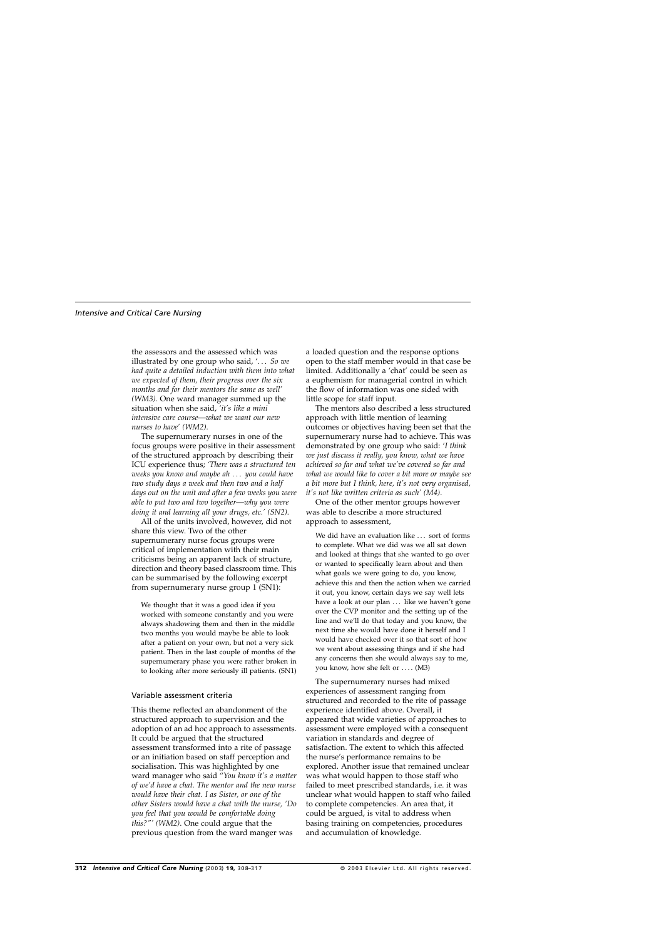the assessors and the assessed which was illustrated by one group who said,'... *So we had quite a detailed induction with them into what we expected of them, their progress over the six months and for their mentors the same as well' (WM3)*. One ward manager summed up the situation when she said, *'it's like a mini intensive care course—what we want our new nurses to have' (WM2)*.

The supernumerary nurses in one of the focus groups were positive in their assessment of the structured approach by describing their ICU experience thus; *'There was a structured ten weeks you know and maybe ah* ... *you could have two study days a week and then two and a half days out on the unit and after a few weeks you were able to put two and two together—why you were doing it and learning all your drugs, etc.' (SN2)*.

All of the units involved, however, did not share this view. Two of the other supernumerary nurse focus groups were critical of implementation with their main criticisms being an apparent lack of structure, direction and theory based classroom time. This can be summarised by the following excerpt from supernumerary nurse group 1 (SN1):

We thought that it was a good idea if you worked with someone constantly and you were always shadowing them and then in the middle two months you would maybe be able to look after a patient on your own, but not a very sick patient. Then in the last couple of months of the supernumerary phase you were rather broken in to looking after more seriously ill patients. (SN1)

#### Variable assessment criteria

This theme reflected an abandonment of the structured approach to supervision and the adoption of an ad hoc approach to assessments. It could be argued that the structured assessment transformed into a rite of passage or an initiation based on staff perception and socialisation. This was highlighted by one ward manager who said "*You know it's a matter of we'd have a chat. The mentor and the new nurse would have their chat. Ias Sister, or one of the other Sisters would have a chat with the nurse, 'Do you feel that you would be comfortable doing this?"' (WM2)*. One could argue that the previous question from the ward manger was

a loaded question and the response options open to the staff member would in that case be limited. Additionally a 'chat' could be seen as a euphemism for managerial control in which the flow of information was one sided with little scope for staff input.

The mentors also described a less structured approach with little mention of learning outcomes or objectives having been set that the supernumerary nurse had to achieve. This was demonstrated by one group who said: '*Ithink we just discuss it really, you know, what we have achieved so far and what we've covered so far and what we would like to cover a bit more or maybe see a bit more but Ithink, here, it's not very organised, it's not like written criteria as such' (M4)*.

One of the other mentor groups however was able to describe a more structured approach to assessment,

We did have an evaluation like ... sort of forms to complete. What we did was we all sat down and looked at things that she wanted to go over or wanted to specifically learn about and then what goals we were going to do, you know, achieve this and then the action when we carried it out, you know, certain days we say well lets have a look at our plan ... like we haven't gone over the CVP monitor and the setting up of the line and we'll do that today and you know, the next time she would have done it herself and I would have checked over it so that sort of how we went about assessing things and if she had any concerns then she would always say to me, you know, how she felt or .... (M3)

The supernumerary nurses had mixed experiences of assessment ranging from structured and recorded to the rite of passage experience identified above. Overall, it appeared that wide varieties of approaches to assessment were employed with a consequent variation in standards and degree of satisfaction. The extent to which this affected the nurse's performance remains to be explored. Another issue that remained unclear was what would happen to those staff who failed to meet prescribed standards, i.e. it was unclear what would happen to staff who failed to complete competencies. An area that, it could be argued, is vital to address when basing training on competencies, procedures and accumulation of knowledge.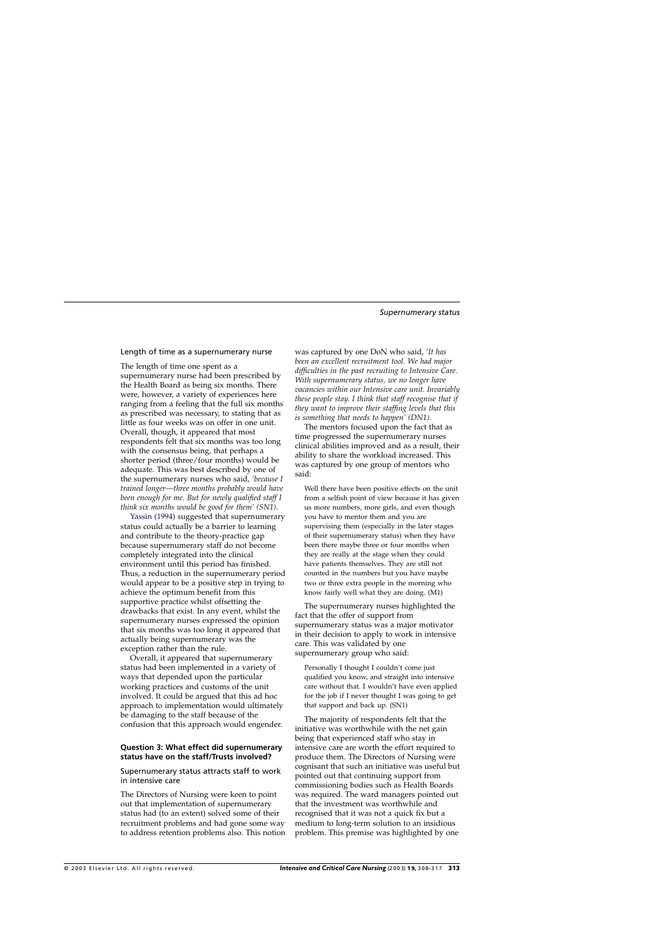#### Length of time as a supernumerary nurse

The length of time one spent as a supernumerary nurse had been prescribed by the Health Board as being six months. There were, however, a variety of experiences here ranging from a feeling that the full six months as prescribed was necessary, to stating that as little as four weeks was on offer in one unit. Overall, though, it appeared that most respondents felt that six months was too long with the consensus being, that perhaps a shorter period (three/four months) would be adequate. This was best described by one of the supernumerary nurses who said, *'because I trained longer—three months probably would have been enough for me. But for newly qualified staff I think six months would be good for them' (SN1)*.

[Yassin \(1994\)](#page-9-0) suggested that supernumerary status could actually be a barrier to learning and contribute to the theory-practice gap because supernumerary staff do not become completely integrated into the clinical environment until this period has finished. Thus, a reduction in the supernumerary period would appear to be a positive step in trying to achieve the optimum benefit from this supportive practice whilst offsetting the drawbacks that exist. In any event,whilst the supernumerary nurses expressed the opinion that six months was too long it appeared that actually being supernumerary was the exception rather than the rule.

Overall, it appeared that supernumerary status had been implemented in a variety of ways that depended upon the particular working practices and customs of the unit involved. It could be argued that this ad hoc approach to implementation would ultimately be damaging to the staff because of the confusion that this approach would engender.

### **Question 3: What effect did supernumerary status have on the staff/Trusts involved?**

#### Supernumerary status attracts staff to work in intensive care

The Directors of Nursing were keen to point out that implementation of supernumerary status had (to an extent) solved some of their recruitment problems and had gone some way to address retention problems also. This notion was captured by one DoN who said,'*It has been an excellent recruitment tool. We had major difficulties in the past recruiting to Intensive Care. With supernumerary status, we no longer have vacancies within our Intensive care unit. Invariably these people stay. I think that staff recognise that if they want to improve their staffing levels that this is something that needs to happen' (DN1)*.

The mentors focused upon the fact that as time progressed the supernumerary nurses clinical abilities improved and as a result, their ability to share the workload increased. This was captured by one group of mentors who said:

Well there have been positive effects on the unit from a selfish point of view because it has given us more numbers, more girls, and even though you have to mentor them and you are supervising them (especially in the later stages of their supernumerary status) when they have been there maybe three or four months when they are really at the stage when they could have patients themselves. They are still not counted in the numbers but you have maybe two or three extra people in the morning who know fairly well what they are doing. (M1)

The supernumerary nurses highlighted the fact that the offer of support from supernumerary status was a major motivator in their decision to apply to work in intensive care. This was validated by one supernumerary group who said:

Personally I thought I couldn't come just qualified you know, and straight into intensive care without that. I wouldn't have even applied for the job if I never thought I was going to get that support and back up. (SN1)

The majority of respondents felt that the initiative was worthwhile with the net gain being that experienced staff who stay in intensive care are worth the effort required to produce them. The Directors of Nursing were cognisant that such an initiative was useful but pointed out that continuing support from commissioning bodies such as Health Boards was required. The ward managers pointed out that the investment was worthwhile and recognised that it was not a quick fix but a medium to long-term solution to an insidious problem. This premise was highlighted by one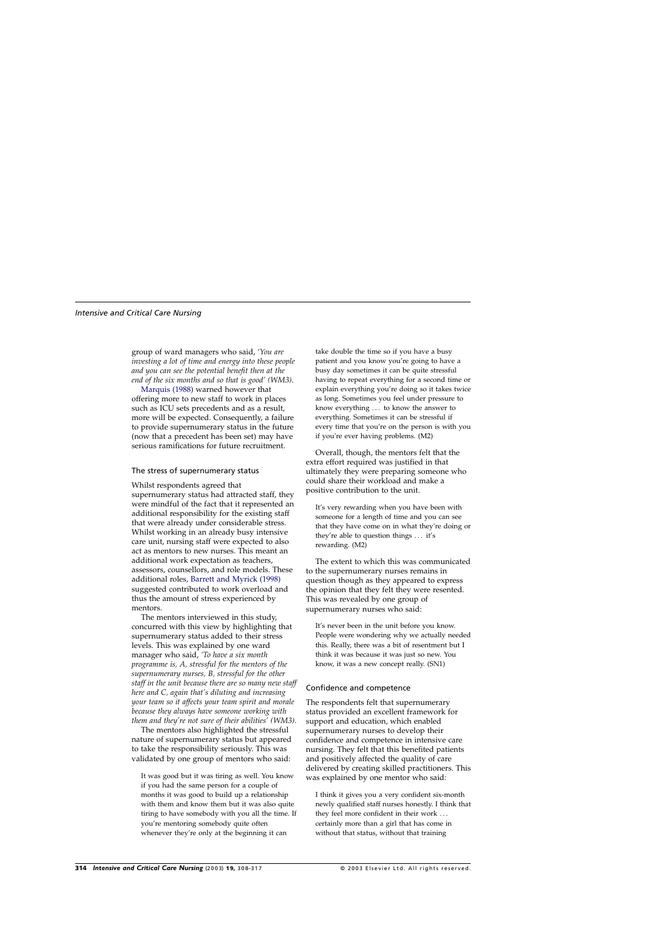group of ward managers who said,'*You are investing a lot of time and energy into these people and you can see the potential benefit then at the end of the six months and so that is good' (WM3)*.

[Marquis \(1988\)](#page-9-0) warned however that offering more to new staff to work in places such as ICU sets precedents and as a result, more will be expected. Consequently, a failure to provide supernumerary status in the future (now that a precedent has been set) may have serious ramifications for future recruitment.

## The stress of supernumerary status

Whilst respondents agreed that supernumerary status had attracted staff, they were mindful of the fact that it represented an additional responsibility for the existing staff that were already under considerable stress. Whilst working in an already busy intensive care unit, nursing staff were expected to also act as mentors to new nurses. This meant an additional work expectation as teachers, assessors, counsellors, and role models. These additional roles, [Barrett and Myrick \(1998\)](#page-8-0) suggested contributed to work overload and thus the amount of stress experienced by mentors.

The mentors interviewed in this study, concurred with this view by highlighting that supernumerary status added to their stress levels. This was explained by one ward manager who said, *'To have a six month programme is, A, stressful for the mentors of the supernumerary nurses, B, stressful for the other staff in the unit because there are so many new staff here and C, again that's diluting and increasing your team so it affects your team spirit and morale because they always have someone working with them and they're not sure of their abilities' (WM3)*.

The mentors also highlighted the stressful nature of supernumerary status but appeared to take the responsibility seriously. This was validated by one group of mentors who said:

It was good but it was tiring as well. You know if you had the same person for a couple of months it was good to build up a relationship with them and know them but it was also quite tiring to have somebody with you all the time. If you're mentoring somebody quite often whenever they're only at the beginning it can

take double the time so if you have a busy patient and you know you're going to have a busy day sometimes it can be quite stressful having to repeat everything for a second time or explain everything you're doing so it takes twice as long. Sometimes you feel under pressure to know everything ... to know the answer to everything. Sometimes it can be stressful if every time that you're on the person is with you if you're ever having problems. (M2)

Overall, though, the mentors felt that the extra effort required was justified in that ultimately they were preparing someone who could share their workload and make a positive contribution to the unit.

It's very rewarding when you have been with someone for a length of time and you can see that they have come on in what they're doing or they're able to question things ... it's rewarding. (M2)

The extent to which this was communicated to the supernumerary nurses remains in question though as they appeared to express the opinion that they felt they were resented. This was revealed by one group of supernumerary nurses who said:

It's never been in the unit before you know. People were wondering why we actually needed this. Really, there was a bit of resentment but I think it was because it was just so new. You know, it was a new concept really. (SN1)

## Confidence and competence

The respondents felt that supernumerary status provided an excellent framework for support and education, which enabled supernumerary nurses to develop their confidence and competence in intensive care nursing. They felt that this benefited patients and positively affected the quality of care delivered by creating skilled practitioners. This was explained by one mentor who said:

I think it gives you a very confident six-month newly qualified staff nurses honestly. I think that they feel more confident in their work ... certainly more than a girl that has come in without that status, without that training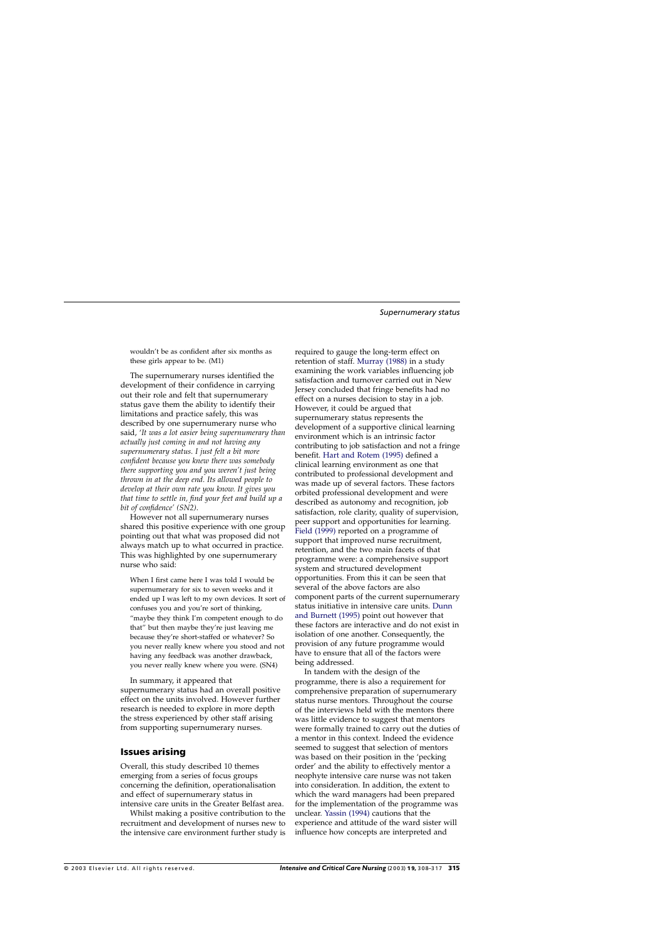wouldn't be as confident after six months as these girls appear to be. (M1)

The supernumerary nurses identified the development of their confidence in carrying out their role and felt that supernumerary status gave them the ability to identify their limitations and practice safely, this was described by one supernumerary nurse who said,'*It was a lot easier being supernumerary than actually just coming in and not having any supernumerary status. Ijust felt a bit more confident because you knew there was somebody there supporting you and you weren't just being thrown in at the deep end. Its allowed people to develop at their own rate you know. It gives you that time to settle in, find your feet and build up a bit of confidence' (SN2)*.

However not all supernumerary nurses shared this positive experience with one group pointing out that what was proposed did not always match up to what occurred in practice. This was highlighted by one supernumerary nurse who said:

When I first came here I was told I would be supernumerary for six to seven weeks and it ended up I was left to my own devices. It sort of confuses you and you're sort of thinking, "maybe they think I'm competent enough to do that" but then maybe they're just leaving me because they're short-staffed or whatever? So you never really knew where you stood and not having any feedback was another drawback, you never really knew where you were. (SN4)

In summary, it appeared that supernumerary status had an overall positive effect on the units involved. However further research is needed to explore in more depth the stress experienced by other staff arising from supporting supernumerary nurses.

## **Issues arising**

Overall, this study described 10 themes emerging from a series of focus groups concerning the definition, operationalisation and effect of supernumerary status in intensive care units in the Greater Belfast area.

Whilst making a positive contribution to the recruitment and development of nurses new to the intensive care environment further study is required to gauge the long-term effect on retention of staff. [Murray \(1988\)](#page-9-0) in a study examining the work variables influencing job satisfaction and turnover carried out in New Jersey concluded that fringe benefits had no effect on a nurses decision to stay in a job. However, it could be argued that supernumerary status represents the development of a supportive clinical learning environment which is an intrinsic factor contributing to job satisfaction and not a fringe benefit. [Hart and Rotem \(1995\)](#page-8-0) defined a clinical learning environment as one that contributed to professional development and was made up of several factors. These factors orbited professional development and were described as autonomy and recognition, job satisfaction, role clarity, quality of supervision, peer support and opportunities for learning. [Field \(1999\)](#page-8-0) reported on a programme of support that improved nurse recruitment, retention, and the two main facets of that programme were: a comprehensive support system and structured development opportunities. From this it can be seen that several of the above factors are also component parts of the current supernumerary status initiative in intensive care units. [Dunn](#page-8-0) [and Burnett \(1995\)](#page-8-0) point out however that these factors are interactive and do not exist in isolation of one another. Consequently, the provision of any future programme would have to ensure that all of the factors were being addressed.

In tandem with the design of the programme, there is also a requirement for comprehensive preparation of supernumerary status nurse mentors. Throughout the course of the interviews held with the mentors there was little evidence to suggest that mentors were formally trained to carry out the duties of a mentor in this context. Indeed the evidence seemed to suggest that selection of mentors was based on their position in the 'pecking order' and the ability to effectively mentor a neophyte intensive care nurse was not taken into consideration. In addition, the extent to which the ward managers had been prepared for the implementation of the programme was unclear. [Yassin \(1994\)](#page-9-0) cautions that the experience and attitude of the ward sister will influence how concepts are interpreted and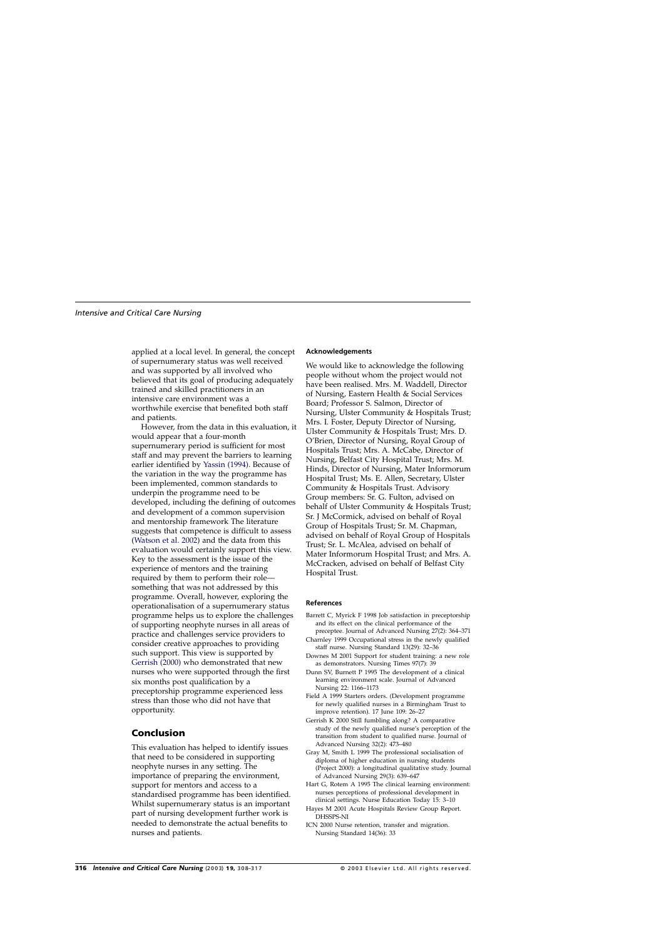<span id="page-8-0"></span>applied at a local level. In general, the concept of supernumerary status was well received and was supported by all involved who believed that its goal of producing adequately trained and skilled practitioners in an intensive care environment was a worthwhile exercise that benefited both staff and patients.

However, from the data in this evaluation, it would appear that a four-month supernumerary period is sufficient for most staff and may prevent the barriers to learning earlier identified by [Yassin \(1994\).](#page-9-0) Because of the variation in the way the programme has been implemented, common standards to underpin the programme need to be developed, including the defining of outcomes and development of a common supervision and mentorship framework The literature suggests that competence is difficult to assess [\(Watson et al. 2002\)](#page-9-0) and the data from this evaluation would certainly support this view. Key to the assessment is the issue of the experience of mentors and the training required by them to perform their role something that was not addressed by this programme. Overall, however, exploring the operationalisation of a supernumerary status programme helps us to explore the challenges of supporting neophyte nurses in all areas of practice and challenges service providers to consider creative approaches to providing such support. This view is supported by Gerrish (2000) who demonstrated that new nurses who were supported through the first six months post qualification by a preceptorship programme experienced less stress than those who did not have that opportunity.

## **Conclusion**

This evaluation has helped to identify issues that need to be considered in supporting neophyte nurses in any setting. The importance of preparing the environment, support for mentors and access to a standardised programme has been identified. Whilst supernumerary status is an important part of nursing development further work is needed to demonstrate the actual benefits to nurses and patients.

### **Acknowledgements**

We would like to acknowledge the following people without whom the project would not have been realised. Mrs. M. Waddell, Director of Nursing, Eastern Health & Social Services Board; Professor S. Salmon, Director of Nursing, Ulster Community & Hospitals Trust; Mrs. I. Foster, Deputy Director of Nursing, Ulster Community & Hospitals Trust; Mrs. D. O'Brien, Director of Nursing, Royal Group of Hospitals Trust; Mrs. A. McCabe, Director of Nursing, Belfast City Hospital Trust; Mrs. M. Hinds, Director of Nursing, Mater Informorum Hospital Trust; Ms. E. Allen, Secretary, Ulster Community & Hospitals Trust. Advisory Group members: Sr. G. Fulton, advised on behalf of Ulster Community & Hospitals Trust; Sr. J McCormick, advised on behalf of Royal Group of Hospitals Trust; Sr. M. Chapman, advised on behalf of Royal Group of Hospitals Trust: Sr. L. McAlea, advised on behalf of Mater Informorum Hospital Trust; and Mrs. A. McCracken, advised on behalf of Belfast City Hospital Trust.

#### **References**

- Barrett C, Myrick F 1998 Job satisfaction in preceptorship and its effect on the clinical performance of the
- preceptee. Journal of Advanced Nursing 27(2): 364–371 Charnley 1999 Occupational stress in the newly qualified staff nurse. Nursing Standard 13(29): 32–36
- Downes M 2001 Support for student training: a new role as demonstrators. Nursing Times 97(7): 39
- Dunn SV, Burnett P 1995 The development of a clinical learning environment scale. Journal of Advanced Nursing 22: 1166–1173
- Field A 1999 Starters orders. (Development programme for newly qualified nurses in a Birmingham Trust to improve retention). 17 June 109: 26–27
- Gerrish K 2000 Still fumbling along? A comparative study of the newly qualified nurse's perception of the transition from student to qualified nurse. Journal of Advanced Nursing 32(2): 473–480
- Gray M, Smith L 1999 The professional socialisation of diploma of higher education in nursing students (Project 2000): a longitudinal qualitative study. Journal of Advanced Nursing 29(3): 639–647
- Hart G, Rotem A 1995 The clinical learning environment: nurses perceptions of professional development in clinical settings. Nurse Education Today 15: 3–10
- Hayes M 2001 Acute Hospitals Review Group Report. DHSSPS-NI
- ICN 2000 Nurse retention, transfer and migration. Nursing Standard 14(36): 33